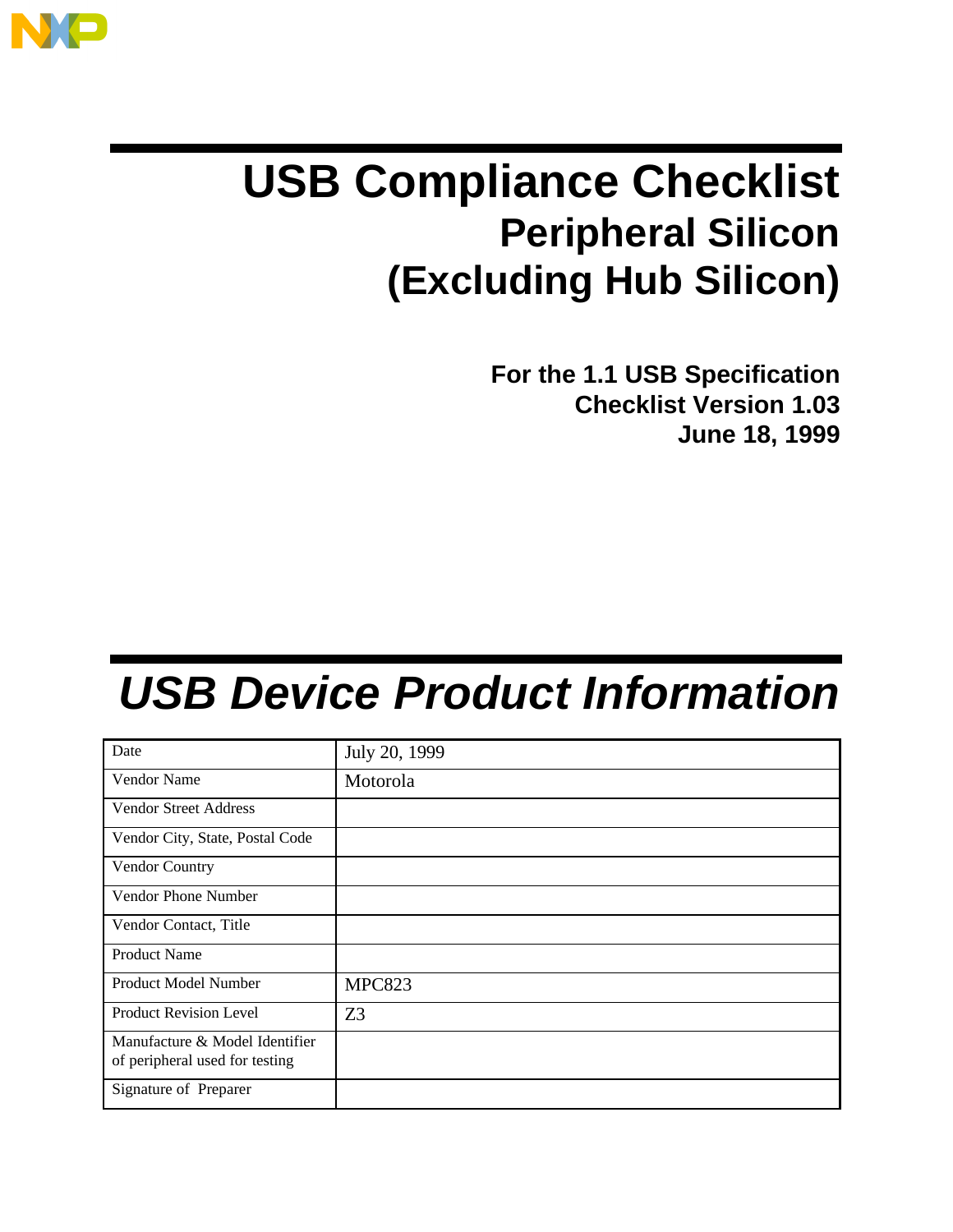

# **USB Compliance Checklist Peripheral Silicon (Excluding Hub Silicon)**

**For the 1.1 USB Specification Checklist Version 1.03 June 18, 1999**

# *USB Device Product Information*

| Date                                                             | July 20, 1999  |
|------------------------------------------------------------------|----------------|
| Vendor Name                                                      | Motorola       |
| <b>Vendor Street Address</b>                                     |                |
| Vendor City, State, Postal Code                                  |                |
| Vendor Country                                                   |                |
| Vendor Phone Number                                              |                |
| Vendor Contact, Title                                            |                |
| <b>Product Name</b>                                              |                |
| Product Model Number                                             | <b>MPC823</b>  |
| <b>Product Revision Level</b>                                    | Z <sub>3</sub> |
| Manufacture & Model Identifier<br>of peripheral used for testing |                |
| Signature of Preparer                                            |                |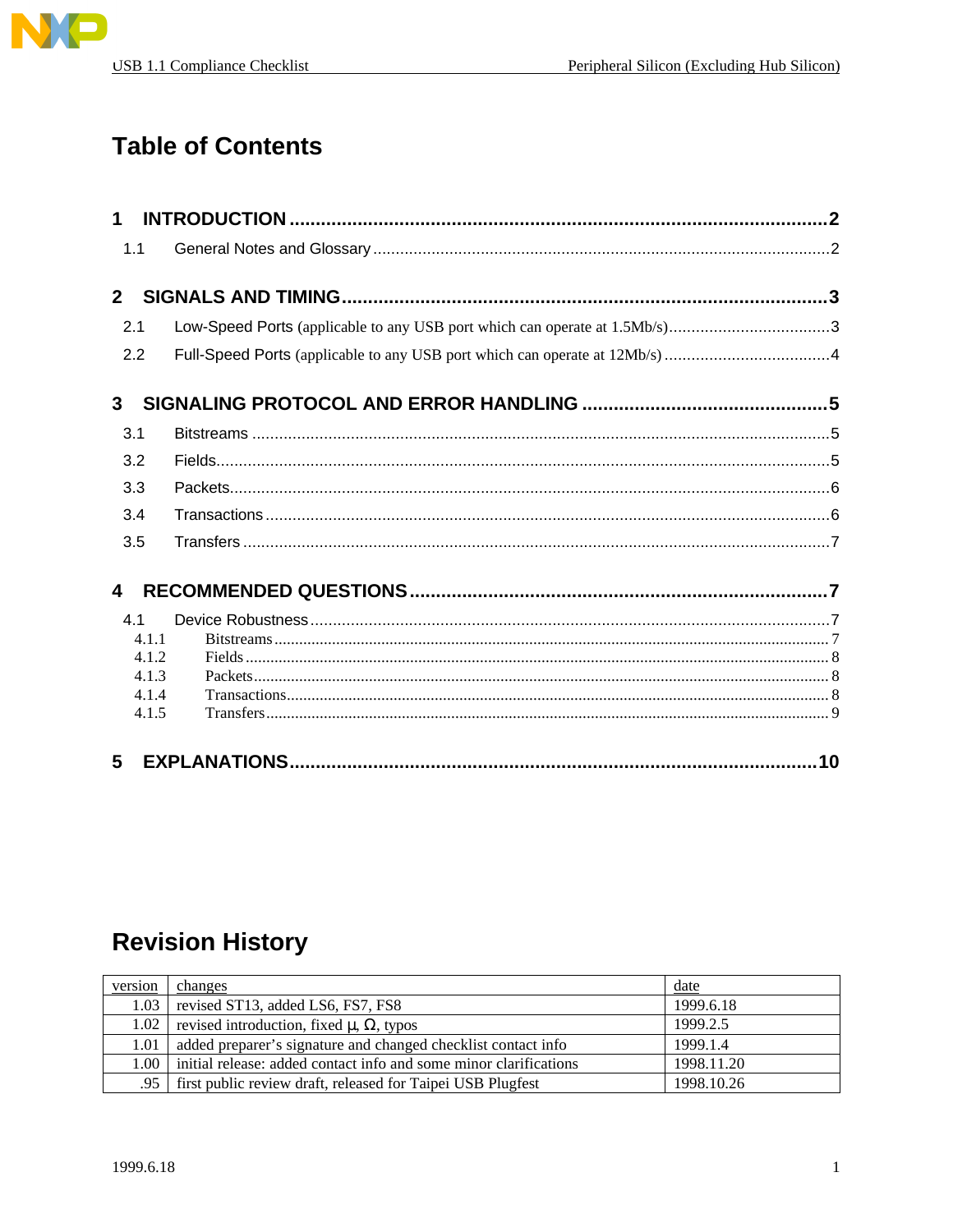

### **Table of Contents**

| 1.1            |  |
|----------------|--|
| $2^{\circ}$    |  |
| 2.1            |  |
| 2.2            |  |
| 3 <sup>1</sup> |  |
| 3.1            |  |
| 3.2            |  |
| 3.3            |  |
| 3.4            |  |
| 3.5            |  |
| 4              |  |
| 4.1            |  |
| 4.1.1          |  |
| 4.1.2<br>4.1.3 |  |
| 4.1.4          |  |
| 4.1.5          |  |
| 5              |  |

<u> 1999 - Jan James Barne</u>

## **Revision History**

| version | changes                                                           | date       |
|---------|-------------------------------------------------------------------|------------|
| 1.03    | revised ST13, added LS6, FS7, FS8                                 | 1999.6.18  |
| 1.02    | revised introduction, fixed $\mu$ , $\Omega$ , typos              | 1999.2.5   |
| 1.01    | added preparer's signature and changed checklist contact info     | 1999.1.4   |
| 1.00    | initial release: added contact info and some minor clarifications | 1998.11.20 |
| .95     | first public review draft, released for Taipei USB Plugfest       | 1998.10.26 |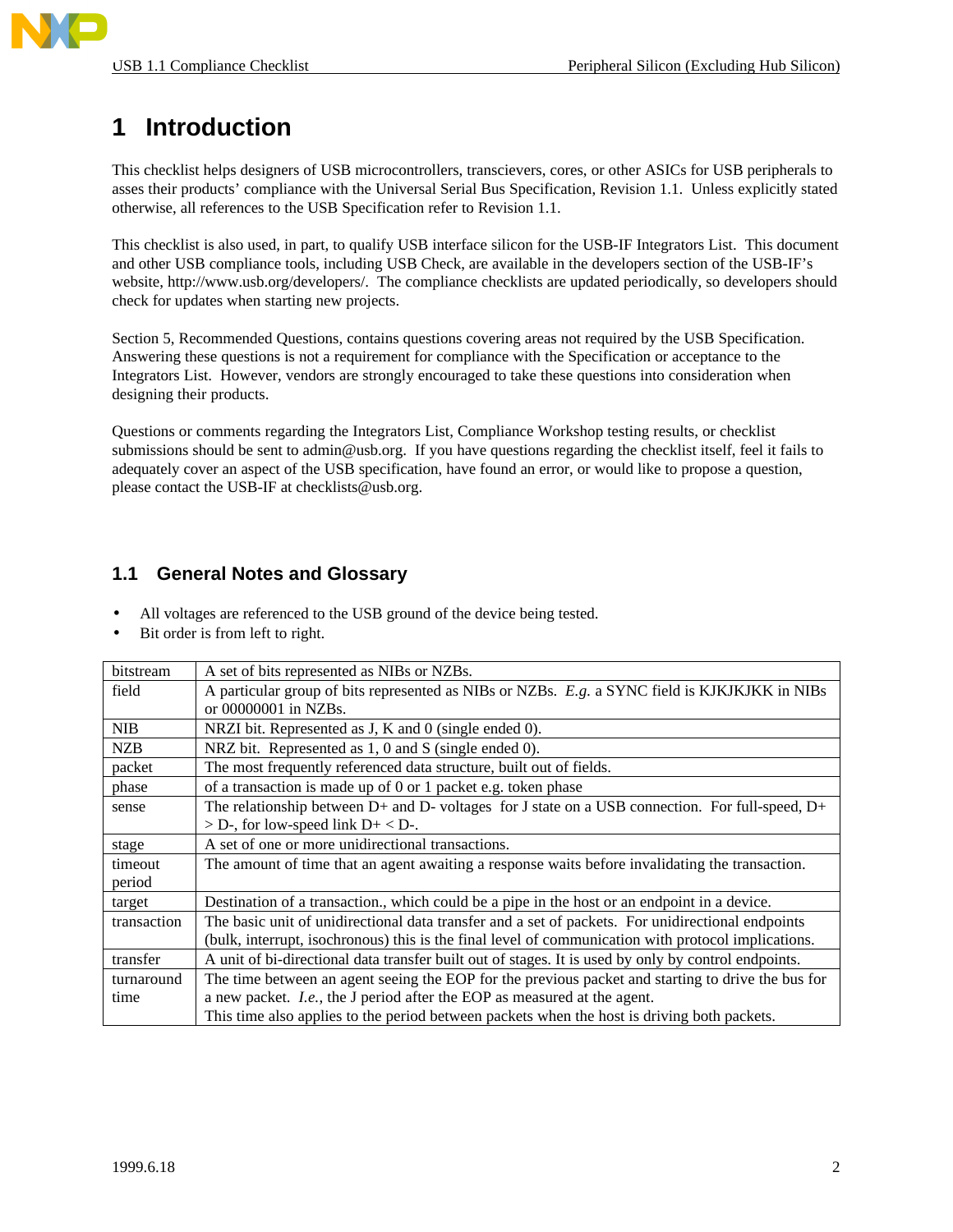### **1 Introduction**

This checklist helps designers of USB microcontrollers, transcievers, cores, or other ASICs for USB peripherals to asses their products' compliance with the Universal Serial Bus Specification, Revision 1.1. Unless explicitly stated otherwise, all references to the USB Specification refer to Revision 1.1.

This checklist is also used, in part, to qualify USB interface silicon for the USB-IF Integrators List. This document and other USB compliance tools, including USB Check, are available in the developers section of the USB-IF's website, http://www.usb.org/developers/. The compliance checklists are updated periodically, so developers should check for updates when starting new projects.

Section 5, Recommended Questions, contains questions covering areas not required by the USB Specification. Answering these questions is not a requirement for compliance with the Specification or acceptance to the Integrators List. However, vendors are strongly encouraged to take these questions into consideration when designing their products.

Questions or comments regarding the Integrators List, Compliance Workshop testing results, or checklist submissions should be sent to admin@usb.org. If you have questions regarding the checklist itself, feel it fails to adequately cover an aspect of the USB specification, have found an error, or would like to propose a question, please contact the USB-IF at checklists@usb.org.

### **1.1 General Notes and Glossary**

- All voltages are referenced to the USB ground of the device being tested.
- Bit order is from left to right.

| bitstream   | A set of bits represented as NIBs or NZBs.                                                            |
|-------------|-------------------------------------------------------------------------------------------------------|
| field       | A particular group of bits represented as NIBs or NZBs. E.g. a SYNC field is KJKJKJKK in NIBs         |
|             | or 00000001 in NZBs.                                                                                  |
| <b>NIB</b>  | NRZI bit. Represented as J, K and 0 (single ended 0).                                                 |
| <b>NZB</b>  | NRZ bit. Represented as 1, 0 and S (single ended 0).                                                  |
| packet      | The most frequently referenced data structure, built out of fields.                                   |
| phase       | of a transaction is made up of 0 or 1 packet e.g. token phase                                         |
| sense       | The relationship between $D+$ and $D-$ voltages for J state on a USB connection. For full-speed, $D+$ |
|             | $> D$ -, for low-speed link $D + < D$ -.                                                              |
| stage       | A set of one or more unidirectional transactions.                                                     |
| timeout     | The amount of time that an agent awaiting a response waits before invalidating the transaction.       |
| period      |                                                                                                       |
| target      | Destination of a transaction., which could be a pipe in the host or an endpoint in a device.          |
| transaction | The basic unit of unidirectional data transfer and a set of packets. For unidirectional endpoints     |
|             | (bulk, interrupt, isochronous) this is the final level of communication with protocol implications.   |
| transfer    | A unit of bi-directional data transfer built out of stages. It is used by only by control endpoints.  |
| turnaround  | The time between an agent seeing the EOP for the previous packet and starting to drive the bus for    |
| time        | a new packet. <i>I.e.</i> , the J period after the EOP as measured at the agent.                      |
|             | This time also applies to the period between packets when the host is driving both packets.           |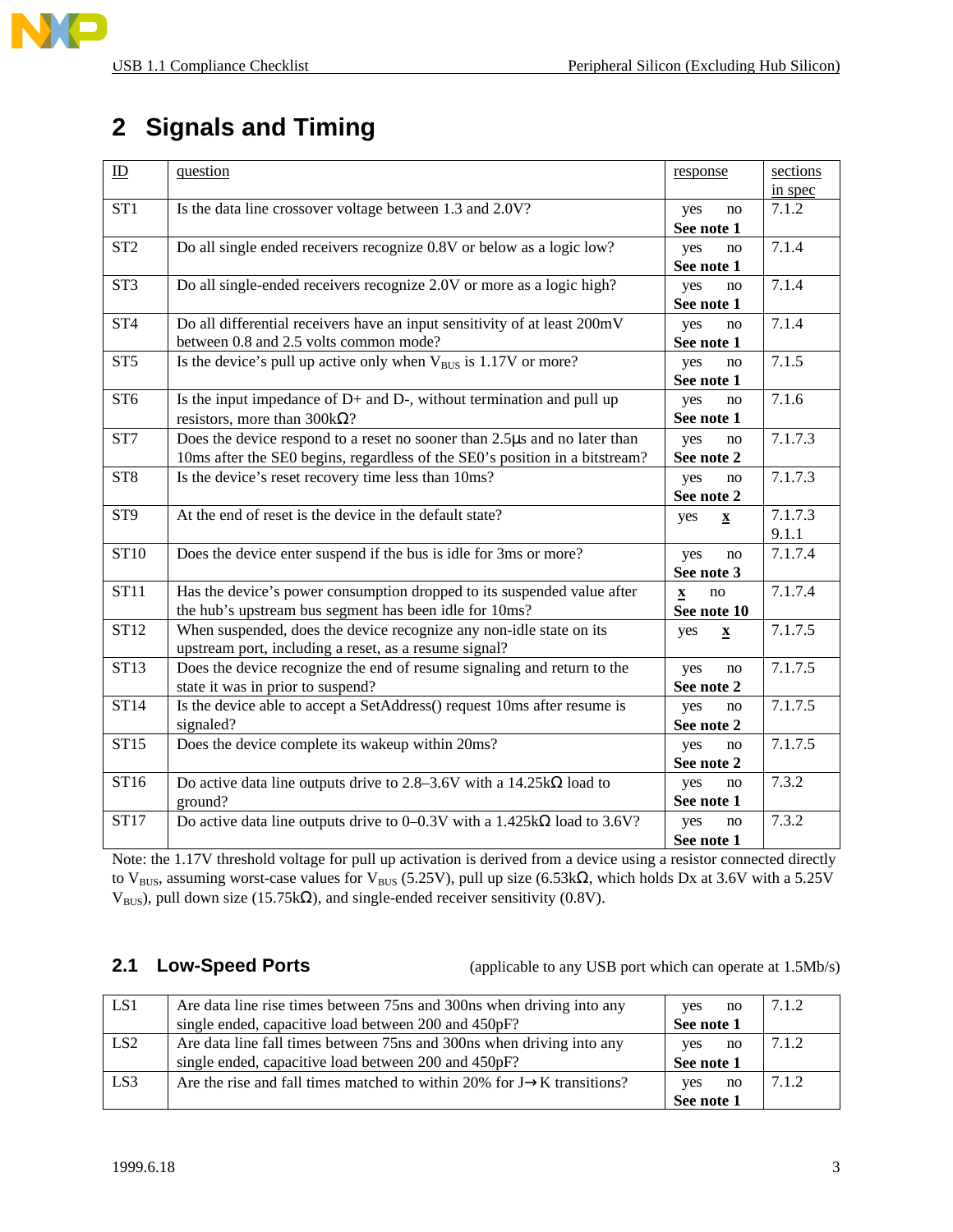### **2 Signals and Timing**

| $\underline{\text{ID}}$ | question                                                                                | response                        | sections |
|-------------------------|-----------------------------------------------------------------------------------------|---------------------------------|----------|
|                         |                                                                                         |                                 | in spec  |
| ST <sub>1</sub>         | Is the data line crossover voltage between 1.3 and 2.0V?                                | yes<br>no                       | 7.1.2    |
|                         |                                                                                         | See note 1                      |          |
| ST <sub>2</sub>         | Do all single ended receivers recognize 0.8V or below as a logic low?                   | yes<br>no                       | 7.1.4    |
|                         |                                                                                         | See note 1                      |          |
| ST <sub>3</sub>         | Do all single-ended receivers recognize 2.0V or more as a logic high?                   | yes<br>no                       | 7.1.4    |
|                         |                                                                                         | See note 1                      |          |
| ST <sub>4</sub>         | Do all differential receivers have an input sensitivity of at least 200mV               | yes<br>no                       | 7.1.4    |
|                         | between 0.8 and 2.5 volts common mode?                                                  | See note 1                      |          |
| ST <sub>5</sub>         | Is the device's pull up active only when $V_{BUS}$ is 1.17V or more?                    | yes<br>no                       | 7.1.5    |
|                         |                                                                                         | See note 1                      |          |
| ST <sub>6</sub>         | Is the input impedance of $D+$ and $D-$ , without termination and pull up               | yes<br>no                       | 7.1.6    |
|                         | resistors, more than $300k\Omega$ ?                                                     | See note 1                      |          |
| ST7                     | Does the device respond to a reset no sooner than 2.5µs and no later than               | yes<br>no                       | 7.1.7.3  |
|                         | 10ms after the SE0 begins, regardless of the SE0's position in a bitstream?             | See note 2                      |          |
| ST <sub>8</sub>         | Is the device's reset recovery time less than 10ms?                                     | yes<br>no                       | 7.1.7.3  |
|                         |                                                                                         | See note 2                      |          |
| ST <sub>9</sub>         | At the end of reset is the device in the default state?                                 | yes<br>$\underline{\mathbf{X}}$ | 7.1.7.3  |
|                         |                                                                                         |                                 | 9.1.1    |
| <b>ST10</b>             | Does the device enter suspend if the bus is idle for 3ms or more?                       | yes<br>no                       | 7.1.7.4  |
|                         |                                                                                         | See note 3                      |          |
| <b>ST11</b>             | Has the device's power consumption dropped to its suspended value after                 | $\underline{\mathbf{X}}$<br>no  | 7.1.7.4  |
|                         | the hub's upstream bus segment has been idle for 10ms?                                  | See note 10                     |          |
| ST12                    | When suspended, does the device recognize any non-idle state on its                     | yes<br>$\underline{\mathbf{X}}$ | 7.1.7.5  |
|                         | upstream port, including a reset, as a resume signal?                                   |                                 |          |
| ST13                    | Does the device recognize the end of resume signaling and return to the                 | yes<br>no                       | 7.1.7.5  |
|                         | state it was in prior to suspend?                                                       | See note 2                      |          |
| ST14                    | Is the device able to accept a SetAddress() request 10ms after resume is                | yes<br>no                       | 7.1.7.5  |
|                         | signaled?                                                                               | See note 2                      |          |
| ST15                    | Does the device complete its wakeup within 20ms?                                        | yes<br>no                       | 7.1.7.5  |
|                         |                                                                                         | See note 2                      |          |
| ST16                    | Do active data line outputs drive to 2.8–3.6V with a $14.25 \text{k}\Omega$ load to     | yes<br>no                       | 7.3.2    |
|                         | ground?                                                                                 | See note 1                      |          |
| <b>ST17</b>             | Do active data line outputs drive to 0-0.3V with a $1.425 \text{k}\Omega$ load to 3.6V? | yes<br>no                       | 7.3.2    |
|                         |                                                                                         | See note 1                      |          |

Note: the 1.17V threshold voltage for pull up activation is derived from a device using a resistor connected directly to V<sub>BUS</sub>, assuming worst-case values for V<sub>BUS</sub> (5.25V), pull up size (6.53k $\Omega$ , which holds Dx at 3.6V with a 5.25V  $V<sub>BUS</sub>$ ), pull down size (15.75kΩ), and single-ended receiver sensitivity (0.8V).

**2.1 Low-Speed Ports** (applicable to any USB port which can operate at 1.5Mb/s)

| LS1             | Are data line rise times between 75ns and 300ns when driving into any               | ves<br>no  | 7.1.2 |
|-----------------|-------------------------------------------------------------------------------------|------------|-------|
|                 | single ended, capacitive load between 200 and 450pF?                                | See note 1 |       |
| LS <sub>2</sub> | Are data line fall times between 75 ns and 300 ns when driving into any             | ves<br>no  | 7.1.2 |
|                 | single ended, capacitive load between 200 and 450pF?                                | See note 1 |       |
| LS3             | Are the rise and fall times matched to within 20% for $J\rightarrow K$ transitions? | no<br>ves  | 7.1.2 |
|                 |                                                                                     | See note 1 |       |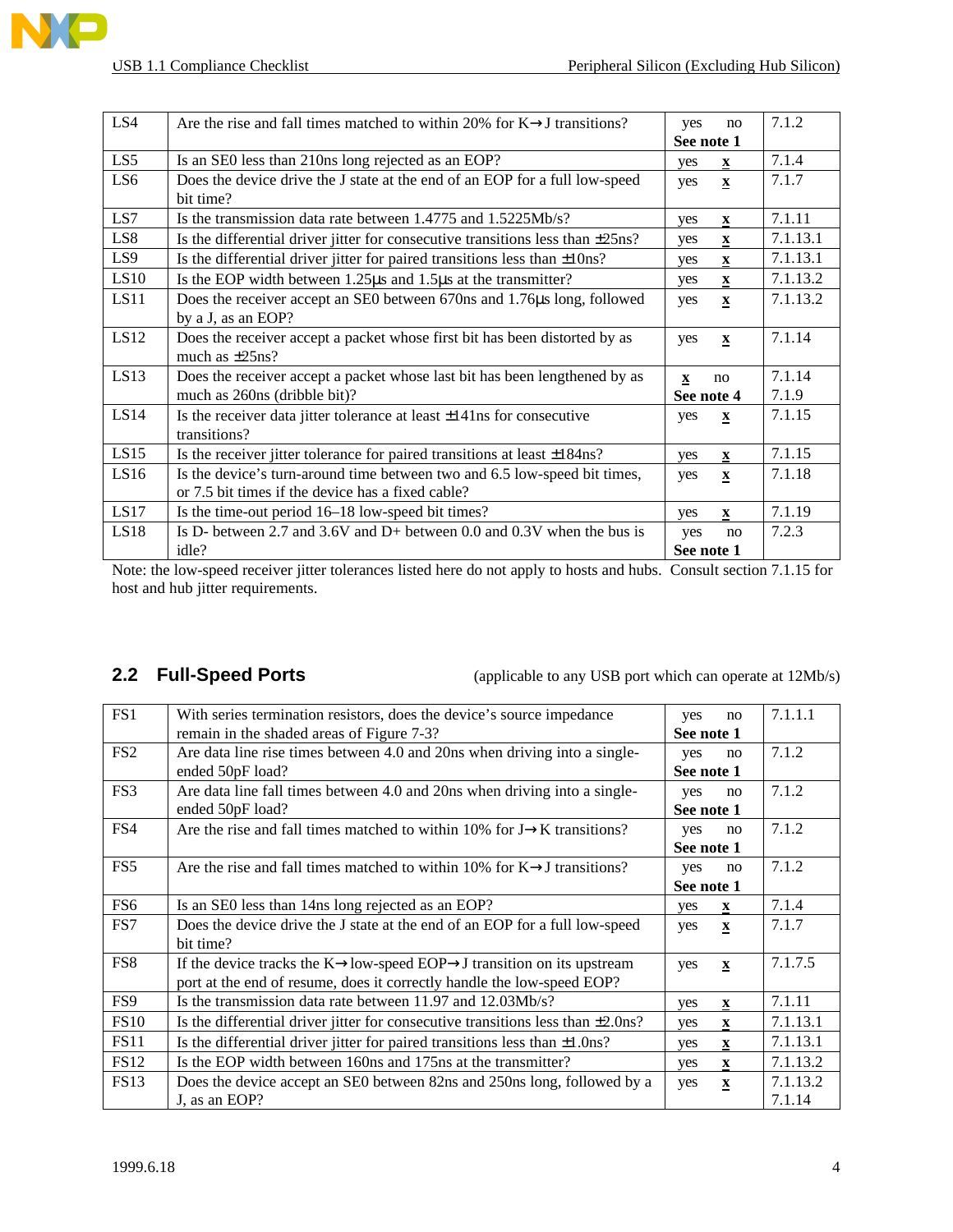| LS4             | Are the rise and fall times matched to within 20% for $K \rightarrow J$ transitions? | yes<br>no           | 7.1.2    |
|-----------------|--------------------------------------------------------------------------------------|---------------------|----------|
|                 |                                                                                      | See note 1          |          |
| LS5             | Is an SEO less than 210ns long rejected as an EOP?                                   | yes<br>$\mathbf{x}$ | 7.1.4    |
| LS6             | Does the device drive the J state at the end of an EOP for a full low-speed          | $\mathbf X$<br>yes  | 7.1.7    |
|                 | bit time?                                                                            |                     |          |
| LS7             | Is the transmission data rate between 1.4775 and 1.5225Mb/s?                         | yes<br>$\mathbf{X}$ | 7.1.11   |
| LS <sub>8</sub> | Is the differential driver jitter for consecutive transitions less than $\pm 25$ ns? | $\mathbf{x}$<br>yes | 7.1.13.1 |
| LS9             | Is the differential driver jitter for paired transitions less than $\pm 10$ ns?      | $\mathbf X$<br>yes  | 7.1.13.1 |
| LS10            | Is the EOP width between 1.25µs and 1.5µs at the transmitter?                        | $\mathbf X$<br>yes  | 7.1.13.2 |
| LS11            | Does the receiver accept an SE0 between 670ns and 1.76µs long, followed              | $\mathbf X$<br>yes  | 7.1.13.2 |
|                 | by a J, as an EOP?                                                                   |                     |          |
| LS12            | Does the receiver accept a packet whose first bit has been distorted by as           | yes<br>$\mathbf X$  | 7.1.14   |
|                 | much as $\pm 25$ ns?                                                                 |                     |          |
| LS13            | Does the receiver accept a packet whose last bit has been lengthened by as           | no<br>$\mathbf X$   | 7.1.14   |
|                 | much as 260ns (dribble bit)?                                                         | See note 4          | 7.1.9    |
| LS14            | Is the receiver data jitter tolerance at least $\pm 141$ ns for consecutive          | yes<br>$\mathbf X$  | 7.1.15   |
|                 | transitions?                                                                         |                     |          |
| LS15            | Is the receiver jitter tolerance for paired transitions at least $\pm 184$ ns?       | $\mathbf{x}$<br>yes | 7.1.15   |
| LS16            | Is the device's turn-around time between two and 6.5 low-speed bit times,            | $\mathbf X$<br>yes  | 7.1.18   |
|                 | or 7.5 bit times if the device has a fixed cable?                                    |                     |          |
| LS17            | Is the time-out period 16–18 low-speed bit times?                                    | $\mathbf X$<br>yes  | 7.1.19   |
| LS18            | Is D- between 2.7 and 3.6V and D+ between 0.0 and $0.3V$ when the bus is             | yes<br>no           | 7.2.3    |
|                 | idle?                                                                                | See note 1          |          |

Note: the low-speed receiver jitter tolerances listed here do not apply to hosts and hubs. Consult section 7.1.15 for host and hub jitter requirements.

**2.2 Full-Speed Ports** (applicable to any USB port which can operate at 12Mb/s)

| FS1              | With series termination resistors, does the device's source impedance                              | yes        | no                        | 7.1.1.1  |
|------------------|----------------------------------------------------------------------------------------------------|------------|---------------------------|----------|
|                  | remain in the shaded areas of Figure 7-3?                                                          | See note 1 |                           |          |
| FS <sub>2</sub>  | Are data line rise times between 4.0 and 20ns when driving into a single-                          | yes        | no                        | 7.1.2    |
|                  | ended 50pF load?                                                                                   | See note 1 |                           |          |
| FS <sub>3</sub>  | Are data line fall times between 4.0 and 20ns when driving into a single-                          | yes        | no                        | 7.1.2    |
|                  | ended 50pF load?                                                                                   | See note 1 |                           |          |
| FS4              | Are the rise and fall times matched to within 10% for $J\rightarrow K$ transitions?                | yes        | no                        | 7.1.2    |
|                  |                                                                                                    | See note 1 |                           |          |
| FS <sub>5</sub>  | Are the rise and fall times matched to within 10% for $K\rightarrow J$ transitions?                | yes        | no                        | 7.1.2    |
|                  |                                                                                                    | See note 1 |                           |          |
| FS <sub>6</sub>  | Is an SEO less than 14ns long rejected as an EOP?                                                  | yes        | $\mathbf{X}$              | 7.1.4    |
| FS7              | Does the device drive the J state at the end of an EOP for a full low-speed                        | yes        | $\mathbf X$               | 7.1.7    |
|                  | bit time?                                                                                          |            |                           |          |
| FS8              | If the device tracks the $K \rightarrow low$ -speed EOP $\rightarrow$ J transition on its upstream | yes        | $\mathbf X$               | 7.1.7.5  |
|                  | port at the end of resume, does it correctly handle the low-speed EOP?                             |            |                           |          |
| FS9              | Is the transmission data rate between 11.97 and 12.03Mb/s?                                         | yes        | $\mathbf x$               | 7.1.11   |
| <b>FS10</b>      | Is the differential driver jitter for consecutive transitions less than $\pm 2.0$ ns?              | yes        | $\boldsymbol{\mathrm{X}}$ | 7.1.13.1 |
| <b>FS11</b>      | Is the differential driver jitter for paired transitions less than $\pm 1.0$ ns?                   | yes        | $\underline{\mathbf{X}}$  | 7.1.13.1 |
| <b>FS12</b>      | Is the EOP width between 160ns and 175ns at the transmitter?                                       | yes        | $\boldsymbol{\mathrm{X}}$ | 7.1.13.2 |
| FS <sub>13</sub> | Does the device accept an SE0 between 82ns and 250ns long, followed by a                           | yes        | $\underline{\mathbf{X}}$  | 7.1.13.2 |
|                  | J, as an EOP?                                                                                      |            |                           | 7.1.14   |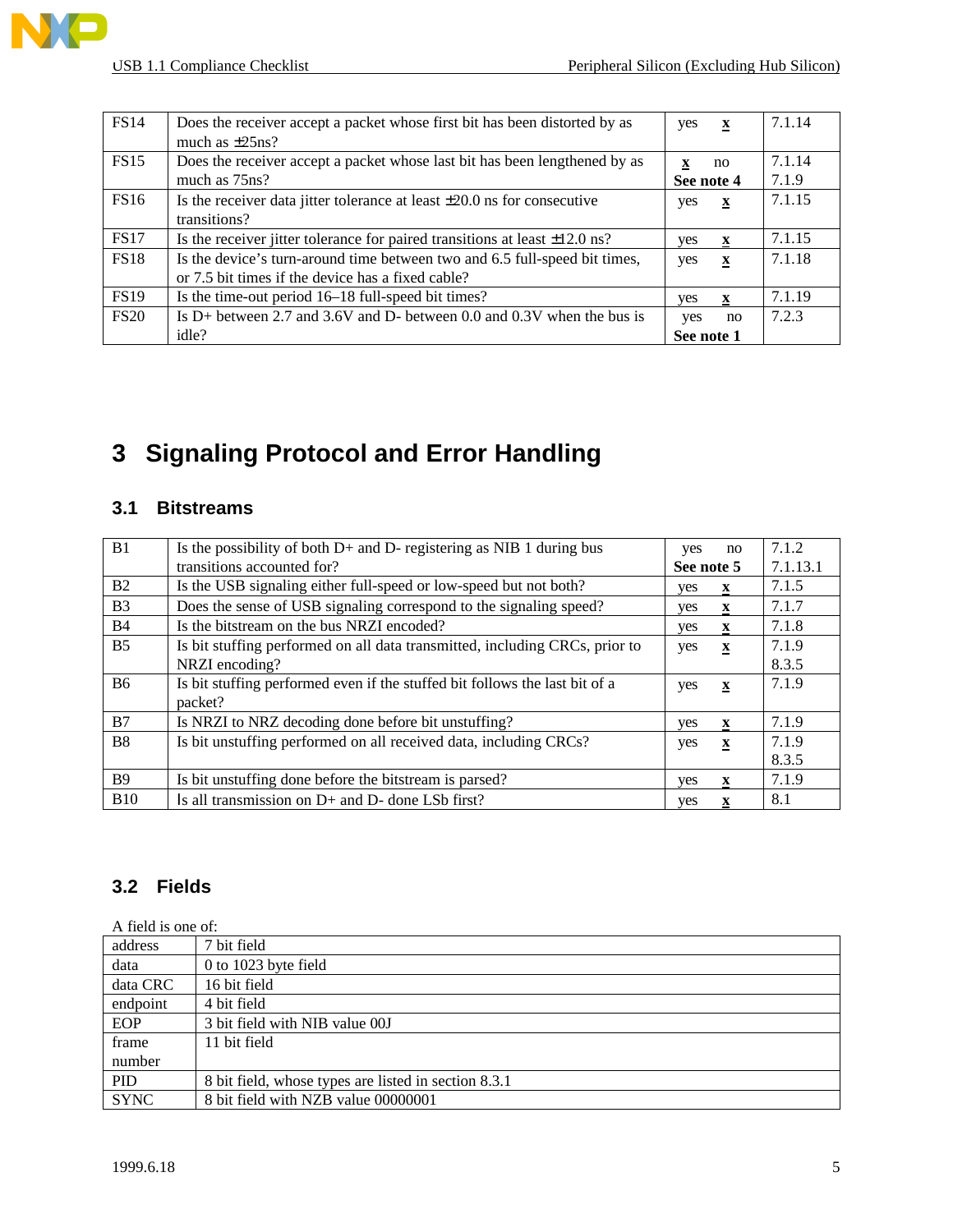| <b>FS14</b> | Does the receiver accept a packet whose first bit has been distorted by as      | yes        | $\mathbf x$  | 7.1.14 |
|-------------|---------------------------------------------------------------------------------|------------|--------------|--------|
|             | much as $\pm$ 25ns?                                                             |            |              |        |
| <b>FS15</b> | Does the receiver accept a packet whose last bit has been lengthened by as      | X          | no           | 7.1.14 |
|             | much as 75ns?                                                                   | See note 4 |              | 7.1.9  |
| <b>FS16</b> | Is the receiver data jitter tolerance at least $\pm 20.0$ ns for consecutive    | yes        | $\mathbf{x}$ | 7.1.15 |
|             | transitions?                                                                    |            |              |        |
| <b>FS17</b> | Is the receiver jitter tolerance for paired transitions at least $\pm 12.0$ ns? | yes        | $\mathbf x$  | 7.1.15 |
| <b>FS18</b> | Is the device's turn-around time between two and 6.5 full-speed bit times,      | yes        | $\mathbf X$  | 7.1.18 |
|             | or 7.5 bit times if the device has a fixed cable?                               |            |              |        |
| <b>FS19</b> | Is the time-out period 16–18 full-speed bit times?                              | yes        | $\mathbf{X}$ | 7.1.19 |
| <b>FS20</b> | Is D+ between 2.7 and 3.6V and D- between 0.0 and 0.3V when the bus is          | yes        | no           | 7.2.3  |
|             | idle?                                                                           | See note 1 |              |        |

## **3 Signaling Protocol and Error Handling**

### **3.1 Bitstreams**

| B1             | Is the possibility of both $D+$ and $D-$ registering as NIB 1 during bus    | yes        | no           | 7.1.2    |
|----------------|-----------------------------------------------------------------------------|------------|--------------|----------|
|                | transitions accounted for?                                                  | See note 5 |              | 7.1.13.1 |
| B <sub>2</sub> | Is the USB signaling either full-speed or low-speed but not both?           | yes        | $\mathbf{x}$ | 7.1.5    |
| B <sub>3</sub> | Does the sense of USB signaling correspond to the signaling speed?          | yes        | $\mathbf{X}$ | 7.1.7    |
| B <sub>4</sub> | Is the bitstream on the bus NRZI encoded?                                   | yes        | $\mathbf x$  | 7.1.8    |
| B <sub>5</sub> | Is bit stuffing performed on all data transmitted, including CRCs, prior to | yes        | $\mathbf{X}$ | 7.1.9    |
|                | NRZI encoding?                                                              |            |              | 8.3.5    |
| <b>B6</b>      | Is bit stuffing performed even if the stuffed bit follows the last bit of a | yes        | $\mathbf{x}$ | 7.1.9    |
|                | packet?                                                                     |            |              |          |
| B7             | Is NRZI to NRZ decoding done before bit unstuffing?                         | yes        | X            | 7.1.9    |
| <b>B8</b>      | Is bit unstuffing performed on all received data, including CRCs?           | yes        | $\mathbf{x}$ | 7.1.9    |
|                |                                                                             |            |              | 8.3.5    |
| <b>B</b> 9     | Is bit unstuffing done before the bitstream is parsed?                      | <b>ves</b> | $\mathbf x$  | 7.1.9    |
| <b>B10</b>     | Is all transmission on D+ and D- done LSb first?                            | yes        | X            | 8.1      |

#### **3.2 Fields**

| A field is one of: |                                                      |
|--------------------|------------------------------------------------------|
| address            | bit field                                            |
| data               | 0 to 1023 byte field                                 |
| data CRC           | 16 bit field                                         |
| endpoint           | 4 bit field                                          |
| EOP                | 3 bit field with NIB value 00J                       |
| frame              | 11 bit field                                         |
| number             |                                                      |
| <b>PID</b>         | 8 bit field, whose types are listed in section 8.3.1 |
| <b>SYNC</b>        | 8 bit field with NZB value 00000001                  |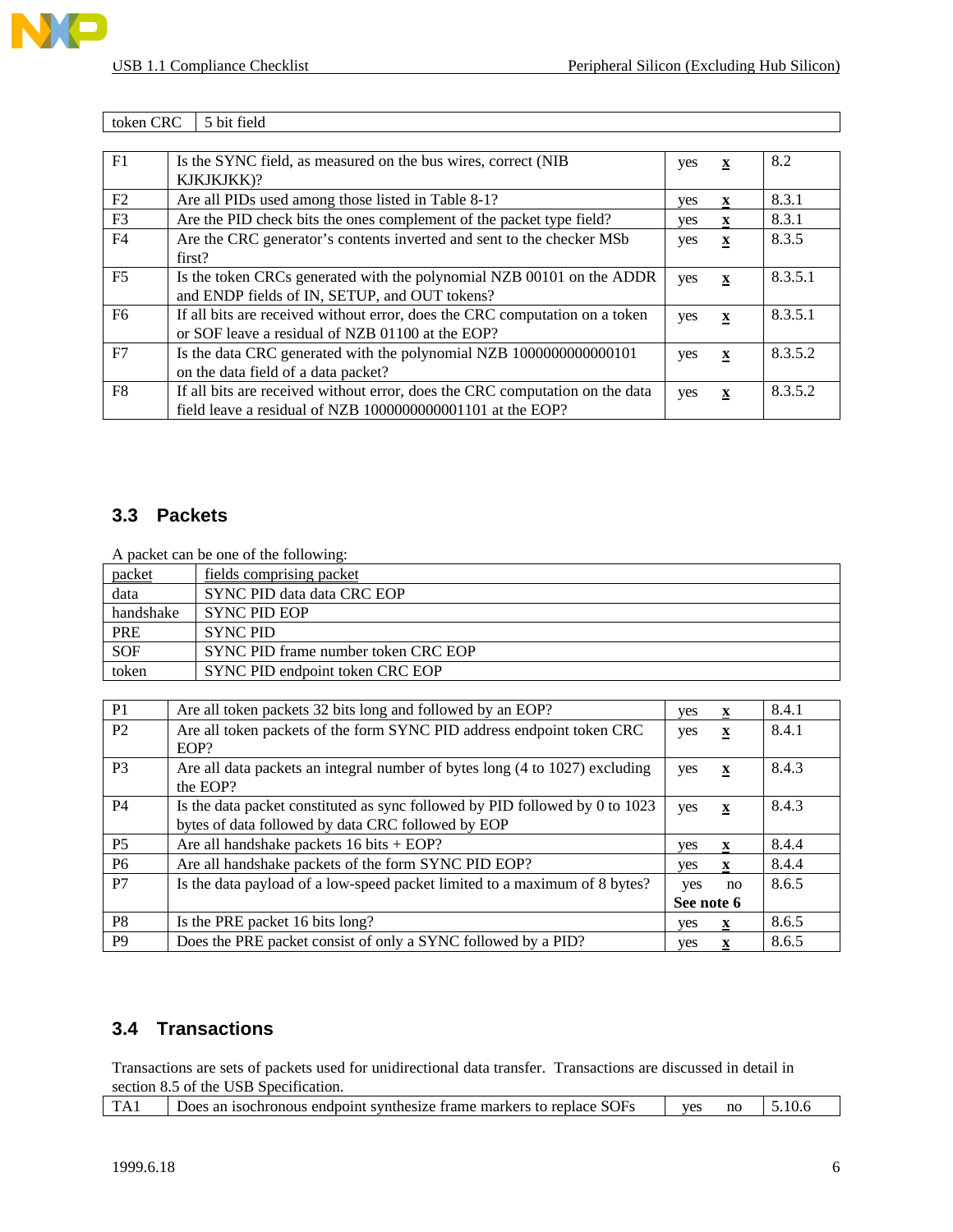#### token CRC 5 bit field

| F1             | Is the SYNC field, as measured on the bus wires, correct (NIB                | yes | $\underline{\mathbf{X}}$  | 8.2     |
|----------------|------------------------------------------------------------------------------|-----|---------------------------|---------|
|                | KJKJKJKK)?                                                                   |     |                           |         |
| F2             | Are all PIDs used among those listed in Table 8-1?                           | yes | X                         | 8.3.1   |
| F <sub>3</sub> | Are the PID check bits the ones complement of the packet type field?         | yes | $\mathbf x$               | 8.3.1   |
| F4             | Are the CRC generator's contents inverted and sent to the checker MSb        | yes | $\boldsymbol{\mathrm{X}}$ | 8.3.5   |
|                | first?                                                                       |     |                           |         |
| F <sub>5</sub> | Is the token CRCs generated with the polynomial NZB 00101 on the ADDR        | yes | $\mathbf X$               | 8.3.5.1 |
|                | and ENDP fields of IN, SETUP, and OUT tokens?                                |     |                           |         |
| F <sub>6</sub> | If all bits are received without error, does the CRC computation on a token  | yes | $\mathbf X$               | 8.3.5.1 |
|                | or SOF leave a residual of NZB 01100 at the EOP?                             |     |                           |         |
| F7             | Is the data CRC generated with the polynomial NZB 1000000000000101           | yes | $\mathbf X$               | 8.3.5.2 |
|                | on the data field of a data packet?                                          |     |                           |         |
| F8             | If all bits are received without error, does the CRC computation on the data | yes | $\mathbf X$               | 8.3.5.2 |
|                | field leave a residual of NZB 1000000000001101 at the EOP?                   |     |                           |         |

#### **3.3 Packets**

A packet can be one of the following:

| packet     | fields comprising packet            |
|------------|-------------------------------------|
| data       | SYNC PID data data CRC EOP          |
| handshake  | SYNC PID EOP                        |
| <b>PRE</b> | <b>SYNC PID</b>                     |
| SOF        | SYNC PID frame number token CRC EOP |
| token      | SYNC PID endpoint token CRC EOP     |
|            |                                     |

| P1             | Are all token packets 32 bits long and followed by an EOP?                   | yes        | $\mathbf{X}$ | 8.4.1 |
|----------------|------------------------------------------------------------------------------|------------|--------------|-------|
| P <sub>2</sub> | Are all token packets of the form SYNC PID address endpoint token CRC        | yes        | $\mathbf X$  | 8.4.1 |
|                | EOP?                                                                         |            |              |       |
| P <sub>3</sub> | Are all data packets an integral number of bytes long (4 to 1027) excluding  | yes        | $\mathbf{X}$ | 8.4.3 |
|                | the EOP?                                                                     |            |              |       |
| <b>P4</b>      | Is the data packet constituted as sync followed by PID followed by 0 to 1023 | yes        | $\mathbf X$  | 8.4.3 |
|                | bytes of data followed by data CRC followed by EOP                           |            |              |       |
| P <sub>5</sub> | Are all handshake packets $16 \text{ bits} + EOP?$                           | yes        | X            | 8.4.4 |
| <b>P6</b>      | Are all handshake packets of the form SYNC PID EOP?                          | yes        | $\mathbf X$  | 8.4.4 |
| P7             | Is the data payload of a low-speed packet limited to a maximum of 8 bytes?   | yes        | no           | 8.6.5 |
|                |                                                                              | See note 6 |              |       |
| P <sub>8</sub> | Is the PRE packet 16 bits long?                                              | yes        | X            | 8.6.5 |
| P <sub>9</sub> | Does the PRE packet consist of only a SYNC followed by a PID?                | yes        | x            | 8.6.5 |

#### **3.4 Transactions**

Transactions are sets of packets used for unidirectional data transfer. Transactions are discussed in detail in section 8.5 of the USB Specification.

|  |  | SOFs<br>to replace<br>i isochronous endpoint synthesize frame markers t<br>. JOPS<br>an |  | nc |  |  |  |
|--|--|-----------------------------------------------------------------------------------------|--|----|--|--|--|
|--|--|-----------------------------------------------------------------------------------------|--|----|--|--|--|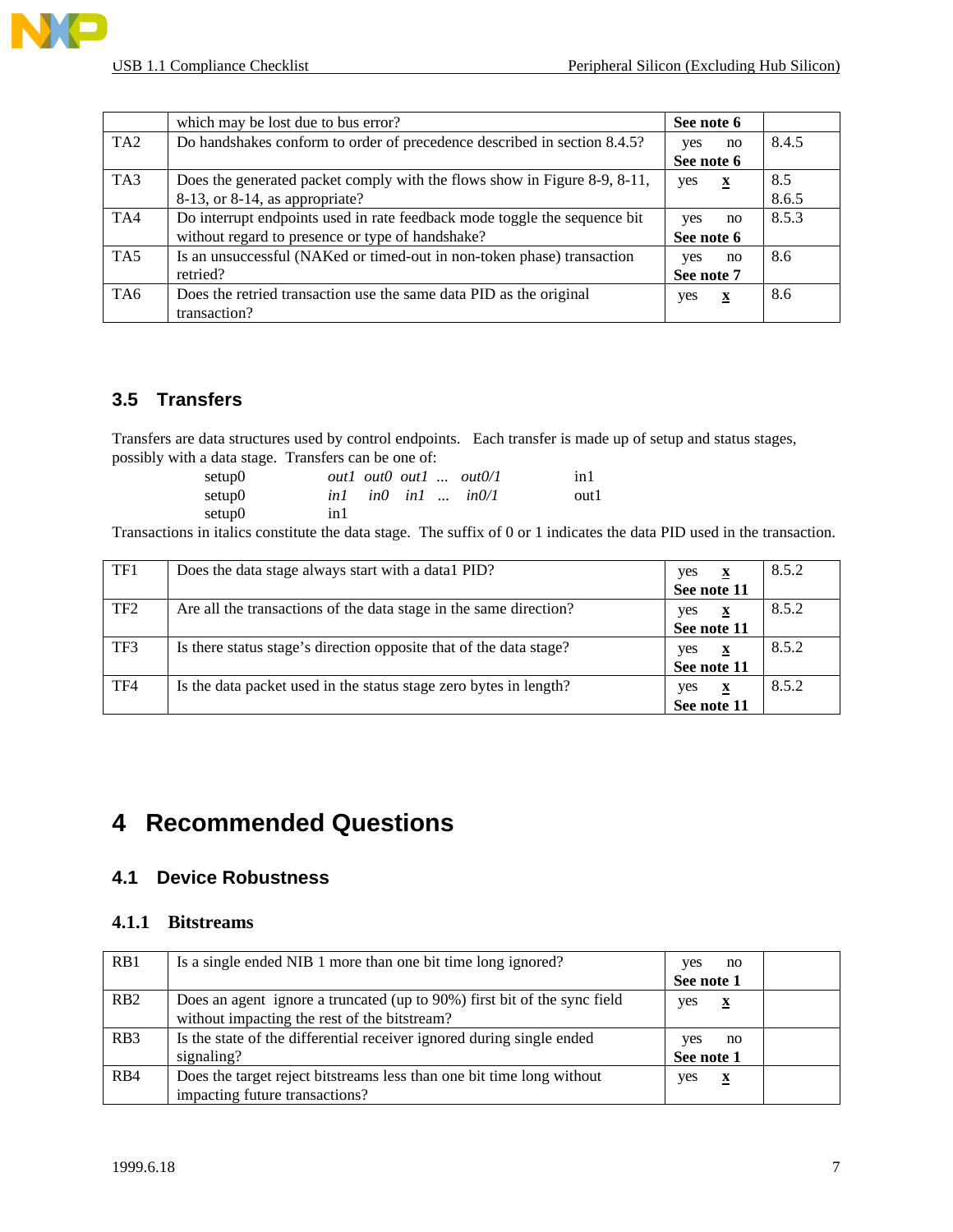|                 | which may be lost due to bus error?                                       | See note 6 |                                       |       |
|-----------------|---------------------------------------------------------------------------|------------|---------------------------------------|-------|
| TA <sub>2</sub> | Do handshakes conform to order of precedence described in section 8.4.5?  | yes        | no                                    | 8.4.5 |
|                 |                                                                           | See note 6 |                                       |       |
| TA3             | Does the generated packet comply with the flows show in Figure 8-9, 8-11, | yes        | $\mathbf{X}$                          | 8.5   |
|                 | $8-13$ , or $8-14$ , as appropriate?                                      |            |                                       | 8.6.5 |
| TA4             | Do interrupt endpoints used in rate feedback mode toggle the sequence bit | yes        | no                                    | 8.5.3 |
|                 | without regard to presence or type of handshake?                          | See note 6 |                                       |       |
| TA5             | Is an unsuccessful (NAKed or timed-out in non-token phase) transaction    | yes        | no                                    | 8.6   |
|                 | retried?                                                                  | See note 7 |                                       |       |
| TA6             | Does the retried transaction use the same data PID as the original        | yes        | $\boldsymbol{\underline{\mathbf{x}}}$ | 8.6   |
|                 | transaction?                                                              |            |                                       |       |

#### **3.5 Transfers**

Transfers are data structures used by control endpoints. Each transfer is made up of setup and status stages, possibly with a data stage. Transfers can be one of:

| setup0 |      |  | outl out0 outl $\ldots$ out0/1 | in1  |
|--------|------|--|--------------------------------|------|
| setup0 |      |  | $in1$ $in0$ $in1$ $$ $in0/1$   | out1 |
| setup0 | in 1 |  |                                |      |

Transactions in italics constitute the data stage. The suffix of 0 or 1 indicates the data PID used in the transaction.

| TF1             | Does the data stage always start with a data1 PID?                 | ves<br>$\mathbf x$<br>See note 11             | 8.5.2 |
|-----------------|--------------------------------------------------------------------|-----------------------------------------------|-------|
| TF <sub>2</sub> | Are all the transactions of the data stage in the same direction?  | $\overline{\mathbf{x}}$<br>yes<br>See note 11 | 8.5.2 |
| TF3             | Is there status stage's direction opposite that of the data stage? | $\mathbf{x}$<br>yes<br>See note 11            | 8.5.2 |
| TF4             | Is the data packet used in the status stage zero bytes in length?  | $\mathbf X$<br>yes<br>See note 11             | 8.5.2 |

### **4 Recommended Questions**

#### **4.1 Device Robustness**

#### **4.1.1 Bitstreams**

| RB1              | Is a single ended NIB 1 more than one bit time long ignored?                                                             | no<br>yes<br>See note 1        |  |
|------------------|--------------------------------------------------------------------------------------------------------------------------|--------------------------------|--|
| R <sub>B</sub> 2 | Does an agent ignore a truncated (up to 90%) first bit of the sync field<br>without impacting the rest of the bitstream? | yes<br>$\mathbf{x}$            |  |
| R <sub>B</sub> 3 | Is the state of the differential receiver ignored during single ended<br>signaling?                                      | <b>ves</b><br>no<br>See note 1 |  |
| R <sub>B4</sub>  | Does the target reject bitstreams less than one bit time long without<br>impacting future transactions?                  | $\mathbf{X}$<br>ves            |  |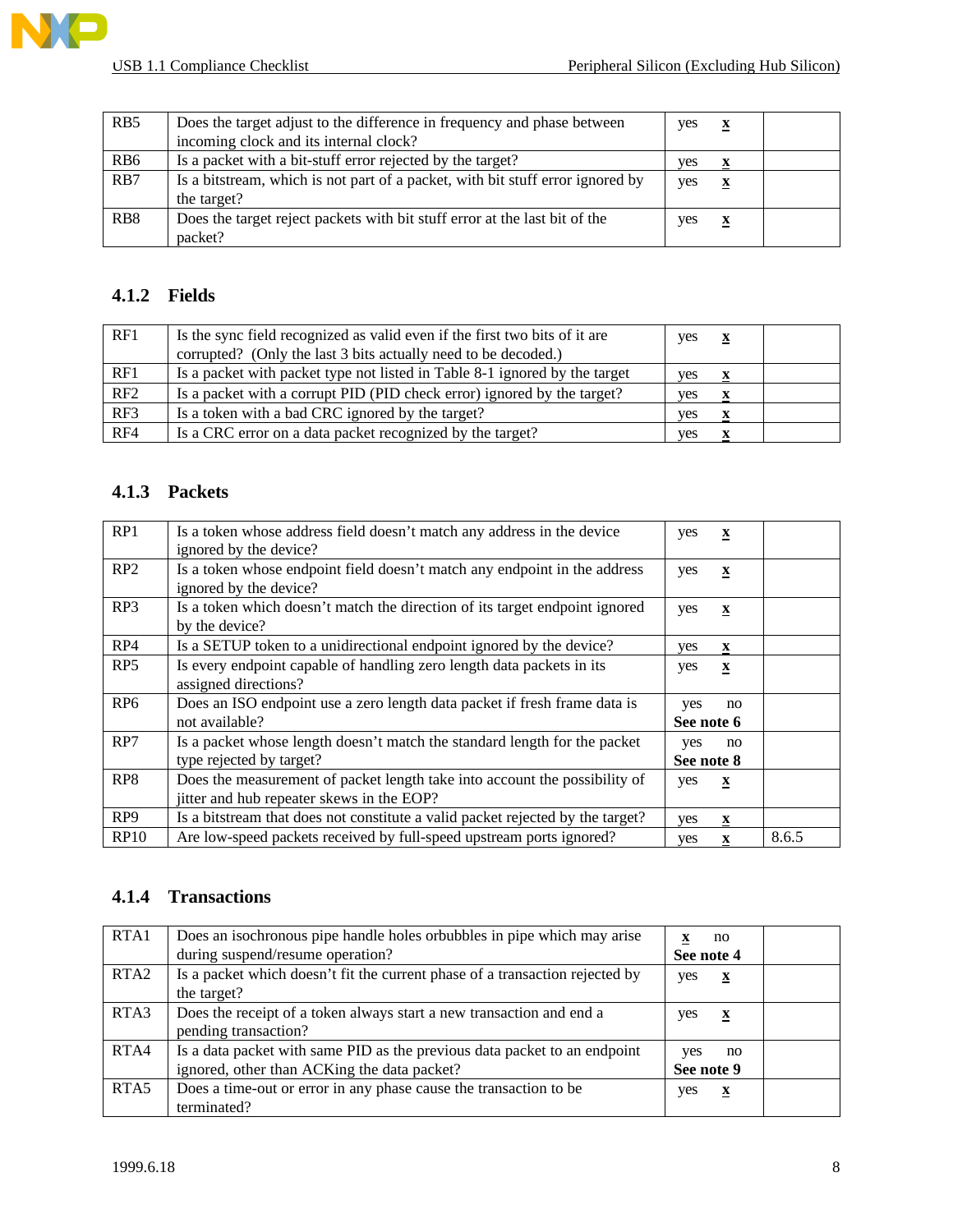| R <sub>B5</sub>  | Does the target adjust to the difference in frequency and phase between        | ves | $\mathbf{X}$ |  |
|------------------|--------------------------------------------------------------------------------|-----|--------------|--|
|                  | incoming clock and its internal clock?                                         |     |              |  |
| R <sub>B6</sub>  | Is a packet with a bit-stuff error rejected by the target?                     | ves | $\mathbf x$  |  |
| RB7              | Is a bitstream, which is not part of a packet, with bit stuff error ignored by | yes | $\mathbf{x}$ |  |
|                  | the target?                                                                    |     |              |  |
| R <sub>B</sub> 8 | Does the target reject packets with bit stuff error at the last bit of the     | yes | $\mathbf{X}$ |  |
|                  | packet?                                                                        |     |              |  |

#### **4.1.2 Fields**

| RF1 | Is the sync field recognized as valid even if the first two bits of it are | yes | $\mathbf{X}$ |  |
|-----|----------------------------------------------------------------------------|-----|--------------|--|
|     | corrupted? (Only the last 3 bits actually need to be decoded.)             |     |              |  |
| RF1 | Is a packet with packet type not listed in Table 8-1 ignored by the target | yes |              |  |
| RF2 | Is a packet with a corrupt PID (PID check error) ignored by the target?    | yes | $\mathbf{X}$ |  |
| RF3 | Is a token with a bad CRC ignored by the target?                           | ves |              |  |
| RF4 | Is a CRC error on a data packet recognized by the target?                  | ves |              |  |

#### **4.1.3 Packets**

| RP1             | Is a token whose address field doesn't match any address in the device<br>ignored by the device?                        | yes               | X            |       |
|-----------------|-------------------------------------------------------------------------------------------------------------------------|-------------------|--------------|-------|
| RP2             | Is a token whose endpoint field doesn't match any endpoint in the address<br>ignored by the device?                     | yes               | $\mathbf{x}$ |       |
| RP3             | Is a token which doesn't match the direction of its target endpoint ignored<br>by the device?                           | yes               | X            |       |
| RP4             | Is a SETUP token to a unidirectional endpoint ignored by the device?                                                    | yes               | $\mathbf{x}$ |       |
| RP <sub>5</sub> | Is every endpoint capable of handling zero length data packets in its<br>assigned directions?                           | yes               | $\mathbf{x}$ |       |
| RP <sub>6</sub> | Does an ISO endpoint use a zero length data packet if fresh frame data is<br>not available?                             | yes<br>See note 6 | no           |       |
| RP <sub>7</sub> | Is a packet whose length doesn't match the standard length for the packet<br>type rejected by target?                   | yes<br>See note 8 | no           |       |
| RP8             | Does the measurement of packet length take into account the possibility of<br>jitter and hub repeater skews in the EOP? | yes               | $\mathbf{x}$ |       |
| RP <sub>9</sub> | Is a bitstream that does not constitute a valid packet rejected by the target?                                          | yes               | $\mathbf{x}$ |       |
| <b>RP10</b>     | Are low-speed packets received by full-speed upstream ports ignored?                                                    | yes               |              | 8.6.5 |

#### **4.1.4 Transactions**

| RTA1             | Does an isochronous pipe handle holes orbubbles in pipe which may arise      | no                  |  |
|------------------|------------------------------------------------------------------------------|---------------------|--|
|                  | during suspend/resume operation?                                             | See note 4          |  |
| RTA <sub>2</sub> | Is a packet which doesn't fit the current phase of a transaction rejected by | yes<br>$\mathbf{x}$ |  |
|                  | the target?                                                                  |                     |  |
| RTA3             | Does the receipt of a token always start a new transaction and end a         | yes<br>$\mathbf{X}$ |  |
|                  | pending transaction?                                                         |                     |  |
| RTA4             | Is a data packet with same PID as the previous data packet to an endpoint    | no<br>yes           |  |
|                  | ignored, other than ACKing the data packet?                                  | See note 9          |  |
| RTA <sub>5</sub> | Does a time-out or error in any phase cause the transaction to be            | yes<br>$\mathbf{x}$ |  |
|                  | terminated?                                                                  |                     |  |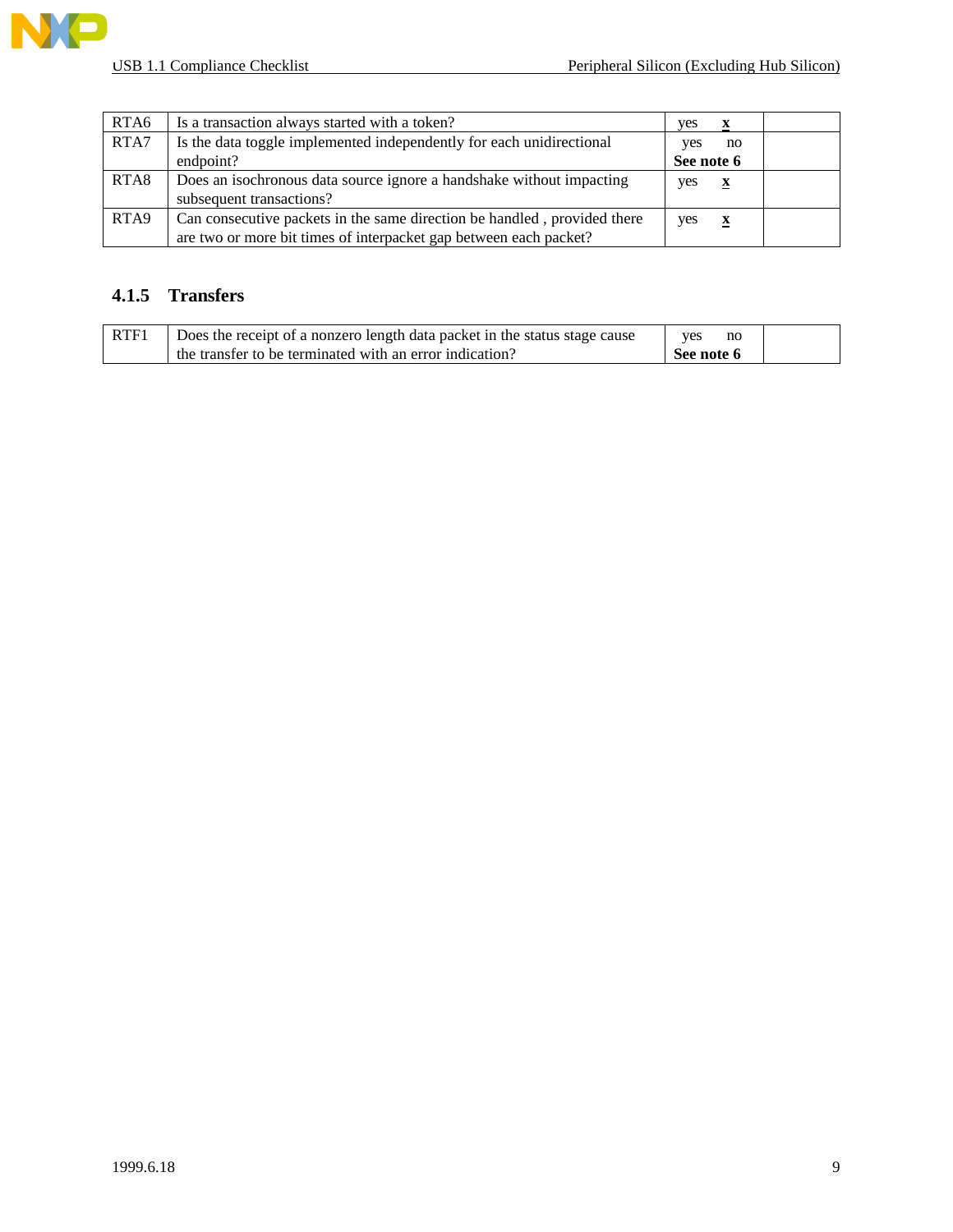| RTA6 | Is a transaction always started with a token?                            | ves        | $\mathbf x$  |  |
|------|--------------------------------------------------------------------------|------------|--------------|--|
| RTA7 | Is the data toggle implemented independently for each unidirectional     | <b>ves</b> | no           |  |
|      | endpoint?                                                                | See note 6 |              |  |
| RTA8 | Does an isochronous data source ignore a handshake without impacting     | yes        | $\mathbf{X}$ |  |
|      | subsequent transactions?                                                 |            |              |  |
| RTA9 | Can consecutive packets in the same direction be handled, provided there | yes        | $\mathbf{X}$ |  |
|      | are two or more bit times of interpacket gap between each packet?        |            |              |  |

#### **4.1.5 Transfers**

| RTF1 | Does the receipt of a nonzero length data packet in the status stage cause | yes<br>no  |  |
|------|----------------------------------------------------------------------------|------------|--|
|      | the transfer to be terminated with an error indication?                    | See note 6 |  |